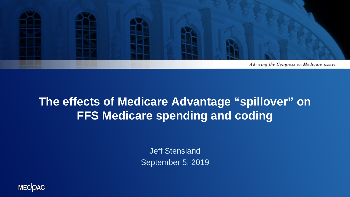

## **The effects of Medicare Advantage "spillover" on FFS Medicare spending and coding**

Jeff Stensland September 5, 2019

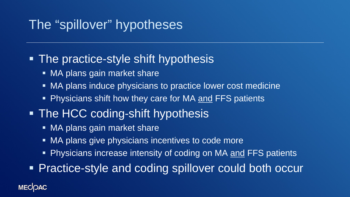# The "spillover" hypotheses

## **- The practice-style shift hypothesis**

- **MA plans gain market share**
- MA plans induce physicians to practice lower cost medicine
- **Physicians shift how they care for MA and FFS patients**

# • The HCC coding-shift hypothesis

- MA plans gain market share
- MA plans give physicians incentives to code more
- Physicians increase intensity of coding on MA and FFS patients

**Practice-style and coding spillover could both occur** 

### **MECOAC**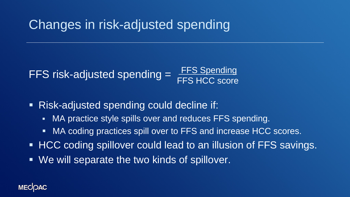# Changes in risk-adjusted spending

#### FFS risk-adjusted spending = **FFS Spending** FFS HCC score

- Risk-adjusted spending could decline if:
	- MA practice style spills over and reduces FFS spending.
	- MA coding practices spill over to FFS and increase HCC scores.
- **HCC coding spillover could lead to an illusion of FFS savings.**
- We will separate the two kinds of spillover.

#### **MECOAC**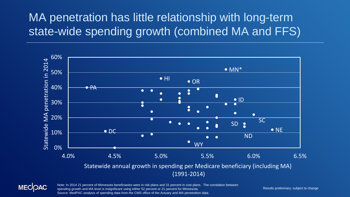# MA penetration has little relationship with long-term state-wide spending growth (combined MA and FFS)





Note: In 2014 21 percent of Minnesota beneficiaries were in risk plans and 31 percent in cost plans. The correlation between spending growth and MA level is insignificant using either 52 percent or 21 percent for Minnesota. Source: MedPAC analysis of spending data from the CMS office of the Actuary and MA penetration data.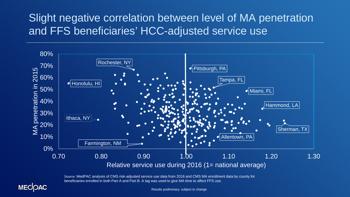## Slight negative correlation between level of MA penetration and FFS beneficiaries' HCC-adjusted service use



Source: MedPAC analysis of CMS risk-adjusted service use data from 2016 and CMS MA enrollment data by county for beneficiaries enrolled in both Part A and Part B. A lag was used to give MA time to affect FFS use.



Results preliminary; subject to change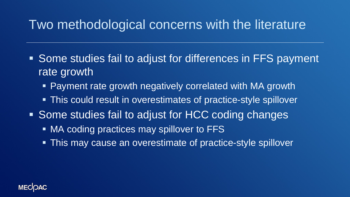# Two methodological concerns with the literature

- **Some studies fail to adjust for differences in FFS payment** rate growth
	- Payment rate growth negatively correlated with MA growth
	- This could result in overestimates of practice-style spillover
- Some studies fail to adjust for HCC coding changes
	- MA coding practices may spillover to FFS
	- **This may cause an overestimate of practice-style spillover**

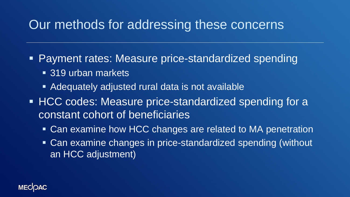# Our methods for addressing these concerns

Payment rates: Measure price-standardized spending

- 319 urban markets
- Adequately adjusted rural data is not available
- **HCC codes: Measure price-standardized spending for a** constant cohort of beneficiaries
	- Can examine how HCC changes are related to MA penetration
	- Can examine changes in price-standardized spending (without an HCC adjustment)

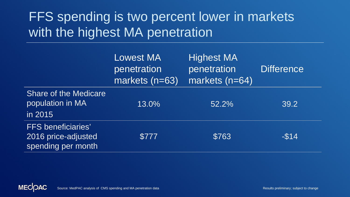# FFS spending is two percent lower in markets with the highest MA penetration

|                                                                        | <b>Lowest MA</b><br>penetration<br>markets (n=63) | <b>Highest MA</b><br>penetration<br>markets (n=64) | <b>Difference</b> |
|------------------------------------------------------------------------|---------------------------------------------------|----------------------------------------------------|-------------------|
| <b>Share of the Medicare</b><br>population in MA<br>in 2015            | 13.0%                                             | 52.2%                                              | 39.2              |
| <b>FFS</b> beneficiaries'<br>2016 price-adjusted<br>spending per month | \$777                                             | \$763                                              | $-$14$            |

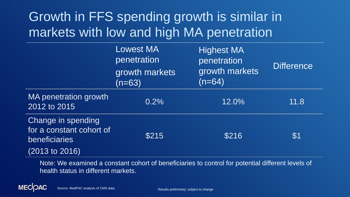# Growth in FFS spending growth is similar in markets with low and high MA penetration

|                                                                                              | Lowest MA<br>penetration<br>growth markets<br>$(n=63)$ | <b>Highest MA</b><br>penetration<br>growth markets<br>$(n=64)$ | <b>Difference</b> |
|----------------------------------------------------------------------------------------------|--------------------------------------------------------|----------------------------------------------------------------|-------------------|
| MA penetration growth<br>2012 to 2015                                                        | 0.2%                                                   | 12.0%                                                          | 11.8              |
| Change in spending<br>for a constant cohort of<br>beneficiaries<br>$(2013 \text{ to } 2016)$ | \$215                                                  | \$216                                                          | \$1               |

Note: We examined a constant cohort of beneficiaries to control for potential different levels of health status in different markets.

Source: MedPAC analysis of CMS data. Results preliminary; subject to change

**MECOAC**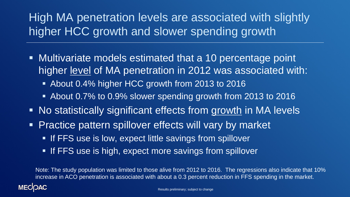# High MA penetration levels are associated with slightly higher HCC growth and slower spending growth

- Multivariate models estimated that a 10 percentage point higher level of MA penetration in 2012 was associated with:
	- About 0.4% higher HCC growth from 2013 to 2016
	- About 0.7% to 0.9% slower spending growth from 2013 to 2016
- No statistically significant effects from growth in MA levels
- **Practice pattern spillover effects will vary by market** 
	- **If FFS use is low, expect little savings from spillover**
	- **If FFS use is high, expect more savings from spillover**

Note: The study population was limited to those alive from 2012 to 2016. The regressions also indicate that 10% increase in ACO penetration is associated with about a 0.3 percent reduction in FFS spending in the market.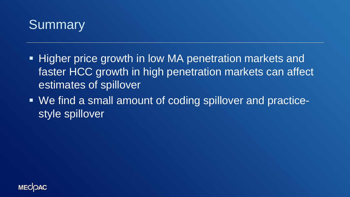

- **Higher price growth in low MA penetration markets and** faster HCC growth in high penetration markets can affect estimates of spillover
- We find a small amount of coding spillover and practicestyle spillover